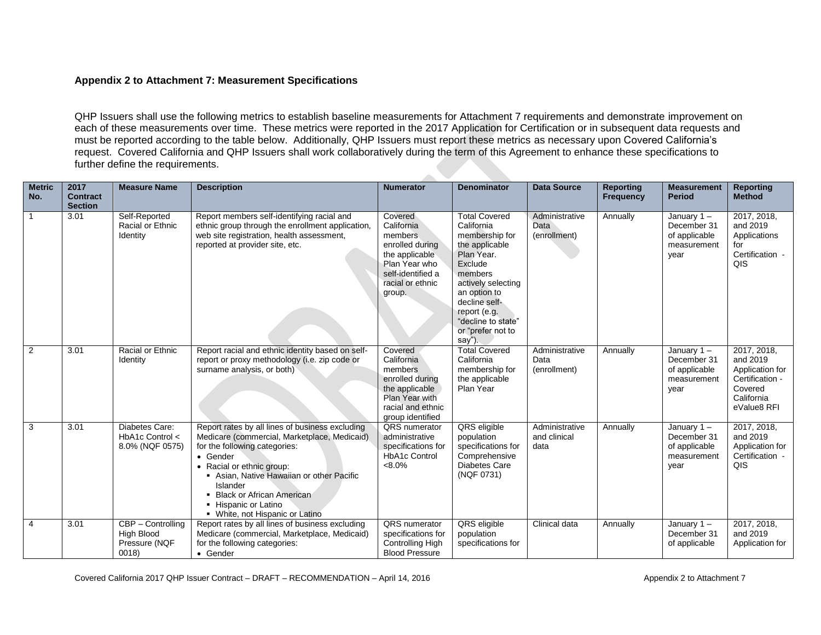## **Appendix 2 to Attachment 7: Measurement Specifications**

QHP Issuers shall use the following metrics to establish baseline measurements for Attachment 7 requirements and demonstrate improvement on each of these measurements over time. These metrics were reported in the 2017 Application for Certification or in subsequent data requests and must be reported according to the table below. Additionally, QHP Issuers must report these metrics as necessary upon Covered California's request. Covered California and QHP Issuers shall work collaboratively during the term of this Agreement to enhance these specifications to further define the requirements.

| <b>Metric</b><br>No. | 2017<br><b>Contract</b><br><b>Section</b> | <b>Measure Name</b>                                      | <b>Description</b>                                                                                                                                                                                                                                                                                                         | <b>Numerator</b>                                                                                                                          | <b>Denominator</b>                                                                                                                                                                                                                     | <b>Data Source</b>                     | <b>Reporting</b><br><b>Frequency</b> | <b>Measurement</b><br><b>Period</b>                                  | <b>Reporting</b><br><b>Method</b>                                                                     |
|----------------------|-------------------------------------------|----------------------------------------------------------|----------------------------------------------------------------------------------------------------------------------------------------------------------------------------------------------------------------------------------------------------------------------------------------------------------------------------|-------------------------------------------------------------------------------------------------------------------------------------------|----------------------------------------------------------------------------------------------------------------------------------------------------------------------------------------------------------------------------------------|----------------------------------------|--------------------------------------|----------------------------------------------------------------------|-------------------------------------------------------------------------------------------------------|
|                      | 3.01                                      | Self-Reported<br>Racial or Ethnic<br>Identity            | Report members self-identifying racial and<br>ethnic group through the enrollment application,<br>web site registration, health assessment,<br>reported at provider site, etc.                                                                                                                                             | Covered<br>California<br>members<br>enrolled during<br>the applicable<br>Plan Year who<br>self-identified a<br>racial or ethnic<br>group. | <b>Total Covered</b><br>California<br>membership for<br>the applicable<br>Plan Year.<br>Exclude<br>members<br>actively selecting<br>an option to<br>decline self-<br>report (e.g.<br>"decline to state"<br>or "prefer not to<br>say"). | Administrative<br>Data<br>(enrollment) | Annually                             | January $1 -$<br>December 31<br>of applicable<br>measurement<br>year | 2017, 2018,<br>and 2019<br>Applications<br>for<br>Certification -<br>QIS                              |
| 2                    | 3.01                                      | Racial or Ethnic<br>Identity                             | Report racial and ethnic identity based on self-<br>report or proxy methodology (i.e. zip code or<br>surname analysis, or both)                                                                                                                                                                                            | Covered<br>California<br>members<br>enrolled during<br>the applicable<br>Plan Year with<br>racial and ethnic<br>group identified          | <b>Total Covered</b><br>California<br>membership for<br>the applicable<br>Plan Year                                                                                                                                                    | Administrative<br>Data<br>(enrollment) | Annually                             | January $1 -$<br>December 31<br>of applicable<br>measurement<br>year | 2017, 2018,<br>and 2019<br>Application for<br>Certification -<br>Covered<br>California<br>eValue8 RFI |
| 3                    | 3.01                                      | Diabetes Care:<br>HbA1c Control <<br>8.0% (NQF 0575)     | Report rates by all lines of business excluding<br>Medicare (commercial, Marketplace, Medicaid)<br>for the following categories:<br>• Gender<br>• Racial or ethnic group:<br>Asian, Native Hawaiian or other Pacific<br>Islander<br>• Black or African American<br>- Hispanic or Latino<br>• White, not Hispanic or Latino | QRS numerator<br>administrative<br>specifications for<br><b>HbA1c Control</b><br>$<8.0\%$                                                 | QRS eligible<br>population<br>specifications for<br>Comprehensive<br>Diabetes Care<br>(NQF 0731)                                                                                                                                       | Administrative<br>and clinical<br>data | Annually                             | January $1 -$<br>December 31<br>of applicable<br>measurement<br>year | 2017, 2018,<br>and 2019<br>Application for<br>Certification -<br>QIS                                  |
| $\overline{4}$       | 3.01                                      | CBP - Controlling<br>High Blood<br>Pressure (NQF<br>0018 | Report rates by all lines of business excluding<br>Medicare (commercial, Marketplace, Medicaid)<br>for the following categories:<br>• Gender                                                                                                                                                                               | QRS numerator<br>specifications for<br>Controlling High<br><b>Blood Pressure</b>                                                          | QRS eligible<br>population<br>specifications for                                                                                                                                                                                       | Clinical data                          | Annually                             | January $1 -$<br>December 31<br>of applicable                        | 2017, 2018,<br>and 2019<br>Application for                                                            |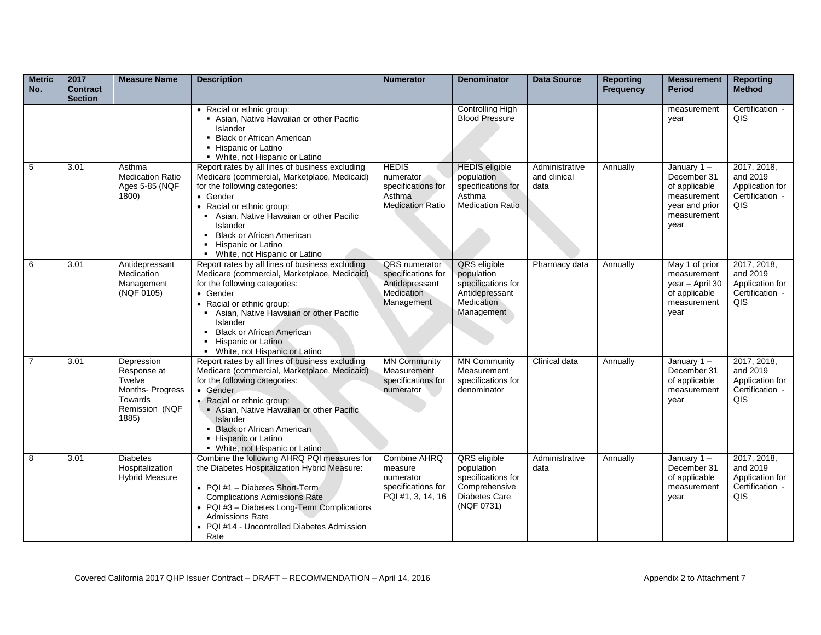| <b>Metric</b><br>No. | 2017<br><b>Contract</b><br><b>Section</b> | <b>Measure Name</b>                                                                          | <b>Description</b>                                                                                                                                                                                                                                                                                                              | <b>Numerator</b>                                                                     | <b>Denominator</b>                                                                                      | Data Source                            | <b>Reporting</b><br><b>Frequency</b> | <b>Measurement</b><br><b>Period</b>                                                                   | <b>Reporting</b><br><b>Method</b>                                    |
|----------------------|-------------------------------------------|----------------------------------------------------------------------------------------------|---------------------------------------------------------------------------------------------------------------------------------------------------------------------------------------------------------------------------------------------------------------------------------------------------------------------------------|--------------------------------------------------------------------------------------|---------------------------------------------------------------------------------------------------------|----------------------------------------|--------------------------------------|-------------------------------------------------------------------------------------------------------|----------------------------------------------------------------------|
|                      |                                           |                                                                                              | • Racial or ethnic group:<br>Asian, Native Hawaiian or other Pacific<br>Islander<br>• Black or African American<br>• Hispanic or Latino<br>• White, not Hispanic or Latino                                                                                                                                                      |                                                                                      | <b>Controlling High</b><br><b>Blood Pressure</b>                                                        |                                        |                                      | measurement<br>year                                                                                   | Certification -<br>QIS                                               |
| 5                    | 3.01                                      | Asthma<br><b>Medication Ratio</b><br>Ages 5-85 (NQF<br>1800)                                 | Report rates by all lines of business excluding<br>Medicare (commercial, Marketplace, Medicaid)<br>for the following categories:<br>• Gender<br>• Racial or ethnic group:<br>Asian, Native Hawaiian or other Pacific<br>Islander<br><b>Black or African American</b><br>• Hispanic or Latino<br>• White, not Hispanic or Latino | <b>HEDIS</b><br>numerator<br>specifications for<br>Asthma<br><b>Medication Ratio</b> | <b>HEDIS</b> eligible<br>population<br>specifications for<br>Asthma<br><b>Medication Ratio</b>          | Administrative<br>and clinical<br>data | Annually                             | January $1 -$<br>December 31<br>of applicable<br>measurement<br>year and prior<br>measurement<br>year | 2017, 2018,<br>and 2019<br>Application for<br>Certification -<br>QIS |
| 6                    | 3.01                                      | Antidepressant<br>Medication<br>Management<br>(NQF 0105)                                     | Report rates by all lines of business excluding<br>Medicare (commercial, Marketplace, Medicaid)<br>for the following categories:<br>• Gender<br>• Racial or ethnic group:<br>Asian, Native Hawaiian or other Pacific<br>Islander<br>• Black or African American<br>• Hispanic or Latino<br>• White, not Hispanic or Latino      | QRS numerator<br>specifications for<br>Antidepressant<br>Medication<br>Management    | QRS eligible<br>population<br>specifications for<br>Antidepressant<br>Medication<br>Management          | Pharmacy data                          | Annually                             | May 1 of prior<br>measurement<br>year - April 30<br>of applicable<br>measurement<br>year              | 2017, 2018,<br>and 2019<br>Application for<br>Certification -<br>QIS |
| 7                    | 3.01                                      | Depression<br>Response at<br>Twelve<br>Months-Progress<br>Towards<br>Remission (NQF<br>1885) | Report rates by all lines of business excluding<br>Medicare (commercial, Marketplace, Medicaid)<br>for the following categories:<br>• Gender<br>• Racial or ethnic group:<br>Asian, Native Hawaiian or other Pacific<br>Islander<br>• Black or African American<br>• Hispanic or Latino<br>• White, not Hispanic or Latino      | <b>MN Community</b><br>Measurement<br>specifications for<br>numerator                | <b>MN Community</b><br>Measurement<br>specifications for<br>denominator                                 | Clinical data                          | Annually                             | January $1 -$<br>December 31<br>of applicable<br>measurement<br>year                                  | 2017, 2018,<br>and 2019<br>Application for<br>Certification -<br>QIS |
| 8                    | 3.01                                      | <b>Diabetes</b><br>Hospitalization<br><b>Hybrid Measure</b>                                  | Combine the following AHRQ PQI measures for<br>the Diabetes Hospitalization Hybrid Measure:<br>• PQI #1 - Diabetes Short-Term<br><b>Complications Admissions Rate</b><br>• PQI #3 - Diabetes Long-Term Complications<br><b>Admissions Rate</b><br>• PQI #14 - Uncontrolled Diabetes Admission<br>Rate                           | Combine AHRQ<br>measure<br>numerator<br>specifications for<br>PQI #1, 3, 14, 16      | QRS eligible<br>population<br>specifications for<br>Comprehensive<br><b>Diabetes Care</b><br>(NQF 0731) | Administrative<br>data                 | Annually                             | January $1 -$<br>December 31<br>of applicable<br>measurement<br>year                                  | 2017, 2018,<br>and 2019<br>Application for<br>Certification -<br>QIS |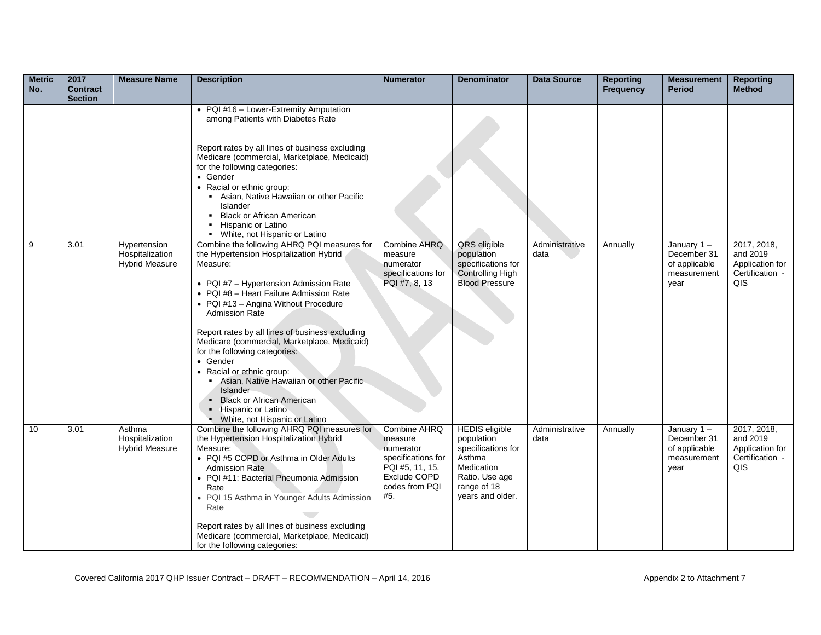| <b>Metric</b><br>No. | 2017<br><b>Contract</b><br><b>Section</b> | <b>Measure Name</b>                                      | <b>Description</b>                                                                                                                                                                                                                                                                                                                                                                                                                                                                                                                                                                          | <b>Numerator</b>                                                                                                       | <b>Denominator</b>                                                                                                                     | <b>Data Source</b>     | <b>Reporting</b><br><b>Frequency</b> | <b>Measurement</b><br><b>Period</b>                                  | <b>Reporting</b><br><b>Method</b>                                    |
|----------------------|-------------------------------------------|----------------------------------------------------------|---------------------------------------------------------------------------------------------------------------------------------------------------------------------------------------------------------------------------------------------------------------------------------------------------------------------------------------------------------------------------------------------------------------------------------------------------------------------------------------------------------------------------------------------------------------------------------------------|------------------------------------------------------------------------------------------------------------------------|----------------------------------------------------------------------------------------------------------------------------------------|------------------------|--------------------------------------|----------------------------------------------------------------------|----------------------------------------------------------------------|
|                      |                                           |                                                          | • PQI #16 - Lower-Extremity Amputation<br>among Patients with Diabetes Rate<br>Report rates by all lines of business excluding<br>Medicare (commercial, Marketplace, Medicaid)<br>for the following categories:<br>• Gender<br>• Racial or ethnic group:<br>• Asian, Native Hawaiian or other Pacific<br>Islander<br>• Black or African American<br>• Hispanic or Latino<br>• White, not Hispanic or Latino                                                                                                                                                                                 |                                                                                                                        |                                                                                                                                        |                        |                                      |                                                                      |                                                                      |
| 9                    | 3.01                                      | Hypertension<br>Hospitalization<br><b>Hybrid Measure</b> | Combine the following AHRQ PQI measures for<br>the Hypertension Hospitalization Hybrid<br>Measure:<br>• PQI #7 - Hypertension Admission Rate<br>• PQI #8 - Heart Failure Admission Rate<br>• PQI #13 - Angina Without Procedure<br><b>Admission Rate</b><br>Report rates by all lines of business excluding<br>Medicare (commercial, Marketplace, Medicaid)<br>for the following categories:<br>• Gender<br>• Racial or ethnic group:<br>Asian, Native Hawaiian or other Pacific<br>Islander<br><b>Black or African American</b><br>• Hispanic or Latino<br>• White, not Hispanic or Latino | <b>Combine AHRQ</b><br>measure<br>numerator<br>specifications for<br>PQI #7, 8, 13                                     | QRS eligible<br>population<br>specifications for<br>Controlling High<br><b>Blood Pressure</b>                                          | Administrative<br>data | Annually                             | January $1 -$<br>December 31<br>of applicable<br>measurement<br>year | 2017, 2018,<br>and 2019<br>Application for<br>Certification -<br>QIS |
| 10                   | 3.01                                      | Asthma<br>Hospitalization<br><b>Hybrid Measure</b>       | Combine the following AHRQ PQI measures for<br>the Hypertension Hospitalization Hybrid<br>Measure:<br>• PQI #5 COPD or Asthma in Older Adults<br><b>Admission Rate</b><br>• PQI #11: Bacterial Pneumonia Admission<br>Rate<br>• PQI 15 Asthma in Younger Adults Admission<br>Rate<br>Report rates by all lines of business excluding<br>Medicare (commercial, Marketplace, Medicaid)<br>for the following categories:                                                                                                                                                                       | Combine AHRQ<br>measure<br>numerator<br>specifications for<br>PQI #5, 11, 15.<br>Exclude COPD<br>codes from PQI<br>#5. | <b>HEDIS</b> eligible<br>population<br>specifications for<br>Asthma<br>Medication<br>Ratio. Use age<br>range of 18<br>years and older. | Administrative<br>data | Annually                             | January $1 -$<br>December 31<br>of applicable<br>measurement<br>year | 2017, 2018,<br>and 2019<br>Application for<br>Certification -<br>QIS |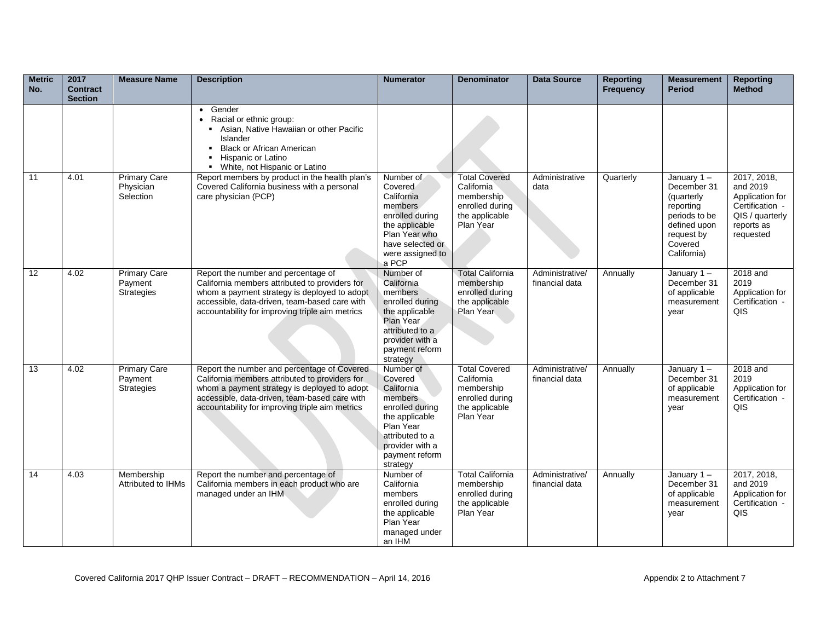| <b>Metric</b><br>No. | 2017<br><b>Contract</b><br><b>Section</b> | <b>Measure Name</b>                           | <b>Description</b>                                                                                                                                                                                                                                | <b>Numerator</b>                                                                                                                                                    | <b>Denominator</b>                                                                                 | <b>Data Source</b>                | <b>Reporting</b><br><b>Frequency</b> | <b>Measurement</b><br><b>Period</b>                                                                                           | <b>Reporting</b><br><b>Method</b>                                                                           |
|----------------------|-------------------------------------------|-----------------------------------------------|---------------------------------------------------------------------------------------------------------------------------------------------------------------------------------------------------------------------------------------------------|---------------------------------------------------------------------------------------------------------------------------------------------------------------------|----------------------------------------------------------------------------------------------------|-----------------------------------|--------------------------------------|-------------------------------------------------------------------------------------------------------------------------------|-------------------------------------------------------------------------------------------------------------|
|                      |                                           |                                               | • Gender<br>Racial or ethnic group:<br>$\bullet$<br>Asian, Native Hawaiian or other Pacific<br>Islander<br><b>Black or African American</b><br>Hispanic or Latino<br>• White, not Hispanic or Latino                                              |                                                                                                                                                                     |                                                                                                    |                                   |                                      |                                                                                                                               |                                                                                                             |
| 11                   | 4.01                                      | <b>Primary Care</b><br>Physician<br>Selection | Report members by product in the health plan's<br>Covered California business with a personal<br>care physician (PCP)                                                                                                                             | Number of<br>Covered<br>California<br>members.<br>enrolled during<br>the applicable<br>Plan Year who<br>have selected or<br>were assigned to<br>a PCP               | <b>Total Covered</b><br>California<br>membership<br>enrolled during<br>the applicable<br>Plan Year | Administrative<br>data            | Quarterly                            | January 1-<br>December 31<br>(quarterly<br>reporting<br>periods to be<br>defined upon<br>request by<br>Covered<br>California) | 2017, 2018,<br>and 2019<br>Application for<br>Certification -<br>QIS / quarterly<br>reports as<br>requested |
| 12                   | 4.02                                      | <b>Primary Care</b><br>Payment<br>Strategies  | Report the number and percentage of<br>California members attributed to providers for<br>whom a payment strategy is deployed to adopt<br>accessible, data-driven, team-based care with<br>accountability for improving triple aim metrics         | Number of<br>California<br>members<br>enrolled during<br>the applicable<br>Plan Year<br>attributed to a<br>provider with a<br>payment reform<br>strategy            | <b>Total California</b><br>membership<br>enrolled during<br>the applicable<br>Plan Year            | Administrative/<br>financial data | Annually                             | January $1 -$<br>December 31<br>of applicable<br>measurement<br>year                                                          | 2018 and<br>2019<br>Application for<br>Certification -<br>QIS                                               |
| 13                   | 4.02                                      | <b>Primary Care</b><br>Payment<br>Strategies  | Report the number and percentage of Covered<br>California members attributed to providers for<br>whom a payment strategy is deployed to adopt<br>accessible, data-driven, team-based care with<br>accountability for improving triple aim metrics | Number of<br>Covered<br>California<br>members<br>enrolled during<br>the applicable<br>Plan Year<br>attributed to a<br>provider with a<br>payment reform<br>strategy | <b>Total Covered</b><br>California<br>membership<br>enrolled during<br>the applicable<br>Plan Year | Administrative/<br>financial data | Annually                             | January 1-<br>December 31<br>of applicable<br>measurement<br>year                                                             | 2018 and<br>2019<br>Application for<br>Certification -<br>QIS                                               |
| 14                   | 4.03                                      | Membership<br>Attributed to IHMs              | Report the number and percentage of<br>California members in each product who are<br>managed under an IHM                                                                                                                                         | Number of<br>California<br>members<br>enrolled during<br>the applicable<br>Plan Year<br>managed under<br>an IHM                                                     | <b>Total California</b><br>membership<br>enrolled during<br>the applicable<br>Plan Year            | Administrative/<br>financial data | Annually                             | January 1-<br>December 31<br>of applicable<br>measurement<br>year                                                             | 2017, 2018,<br>and 2019<br>Application for<br>Certification -<br>QIS                                        |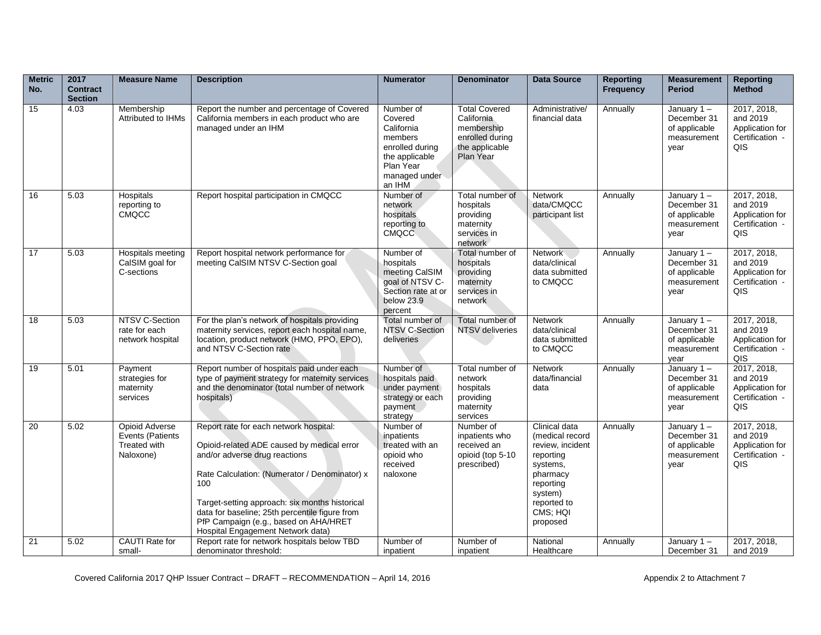| <b>Metric</b><br>No. | 2017<br><b>Contract</b><br><b>Section</b> | <b>Measure Name</b>                                                    | <b>Description</b>                                                                                                                                                                                                                                                                                                                                              | <b>Numerator</b>                                                                                                           | <b>Denominator</b>                                                                                 | <b>Data Source</b>                                                                                                                                       | <b>Reporting</b><br><b>Frequency</b> | <b>Measurement</b><br><b>Period</b>                                  | <b>Reporting</b><br>Method                                                |
|----------------------|-------------------------------------------|------------------------------------------------------------------------|-----------------------------------------------------------------------------------------------------------------------------------------------------------------------------------------------------------------------------------------------------------------------------------------------------------------------------------------------------------------|----------------------------------------------------------------------------------------------------------------------------|----------------------------------------------------------------------------------------------------|----------------------------------------------------------------------------------------------------------------------------------------------------------|--------------------------------------|----------------------------------------------------------------------|---------------------------------------------------------------------------|
| 15                   | 4.03                                      | Membership<br>Attributed to IHMs                                       | Report the number and percentage of Covered<br>California members in each product who are<br>managed under an IHM                                                                                                                                                                                                                                               | Number of<br>Covered<br>California<br>members<br>enrolled during<br>the applicable<br>Plan Year<br>managed under<br>an IHM | <b>Total Covered</b><br>California<br>membership<br>enrolled during<br>the applicable<br>Plan Year | Administrative/<br>financial data                                                                                                                        | Annually                             | January $1 -$<br>December 31<br>of applicable<br>measurement<br>year | 2017, 2018,<br>and 2019<br>Application for<br>Certification -<br>QIS      |
| 16                   | 5.03                                      | Hospitals<br>reporting to<br>CMQCC                                     | Report hospital participation in CMQCC                                                                                                                                                                                                                                                                                                                          | Number of<br>network<br>hospitals<br>reporting to<br><b>CMQCC</b>                                                          | Total number of<br>hospitals<br>providing<br>maternity<br>services in<br>network                   | Network<br>data/CMQCC<br>participant list                                                                                                                | Annually                             | January 1-<br>December 31<br>of applicable<br>measurement<br>year    | 2017, 2018,<br>and 2019<br>Application for<br>Certification -<br>QIS      |
| 17                   | 5.03                                      | Hospitals meeting<br>CalSIM goal for<br>C-sections                     | Report hospital network performance for<br>meeting CalSIM NTSV C-Section goal                                                                                                                                                                                                                                                                                   | Number of<br>hospitals<br>meeting CalSIM<br>goal of NTSV C-<br>Section rate at or<br>below 23.9<br>percent                 | Total number of<br>hospitals<br>providing<br>maternity<br>services in<br>network                   | Network<br>data/clinical<br>data submitted<br>to CMQCC                                                                                                   | Annually                             | January 1-<br>December 31<br>of applicable<br>measurement<br>year    | 2017, 2018,<br>and 2019<br>Application for<br>Certification -<br>QIS      |
| 18                   | 5.03                                      | NTSV C-Section<br>rate for each<br>network hospital                    | For the plan's network of hospitals providing<br>maternity services, report each hospital name,<br>location, product network (HMO, PPO, EPO),<br>and NTSV C-Section rate                                                                                                                                                                                        | Total number of<br><b>NTSV C-Section</b><br>deliveries                                                                     | Total number of<br><b>NTSV</b> deliveries                                                          | <b>Network</b><br>data/clinical<br>data submitted<br>to CMQCC                                                                                            | Annually                             | January $1 -$<br>December 31<br>of applicable<br>measurement<br>year | 2017, 2018,<br>and 2019<br>Application for<br>Certification<br><b>QIS</b> |
| 19                   | 5.01                                      | Payment<br>strategies for<br>maternity<br>services                     | Report number of hospitals paid under each<br>type of payment strategy for maternity services<br>and the denominator (total number of network<br>hospitals)                                                                                                                                                                                                     | Number of<br>hospitals paid<br>under payment<br>strategy or each<br>payment<br>strategy                                    | Total number of<br>network<br>hospitals<br>providing<br>maternity<br>services                      | <b>Network</b><br>data/financial<br>data                                                                                                                 | Annually                             | January 1-<br>December 31<br>of applicable<br>measurement<br>year    | 2017, 2018,<br>and 2019<br>Application for<br>Certification -<br>QIS      |
| 20                   | 5.02                                      | Opioid Adverse<br><b>Events (Patients</b><br>Treated with<br>Naloxone) | Report rate for each network hospital:<br>Opioid-related ADE caused by medical error<br>and/or adverse drug reactions<br>Rate Calculation: (Numerator / Denominator) x<br>100<br>Target-setting approach: six months historical<br>data for baseline; 25th percentile figure from<br>PfP Campaign (e.g., based on AHA/HRET<br>Hospital Engagement Network data) | Number of<br>inpatients<br>treated with an<br>opioid who<br>received<br>naloxone                                           | Number of<br>inpatients who<br>received an<br>opioid (top 5-10<br>prescribed)                      | Clinical data<br>(medical record<br>review, incident<br>reporting<br>systems,<br>pharmacy<br>reporting<br>system)<br>reported to<br>CMS; HQI<br>proposed | Annually                             | January 1-<br>December 31<br>of applicable<br>measurement<br>year    | 2017, 2018,<br>and 2019<br>Application for<br>Certification -<br>QIS      |
| 21                   | 5.02                                      | CAUTI Rate for<br>small-                                               | Report rate for network hospitals below TBD<br>denominator threshold:                                                                                                                                                                                                                                                                                           | Number of<br>inpatient                                                                                                     | Number of<br>inpatient                                                                             | National<br>Healthcare                                                                                                                                   | Annually                             | January $1 -$<br>December 31                                         | 2017, 2018,<br>and 2019                                                   |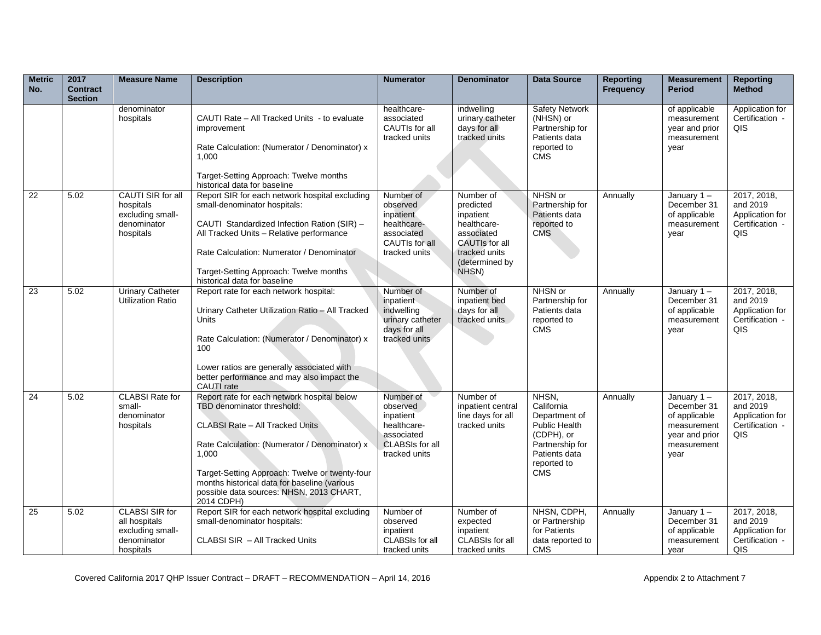| <b>Metric</b><br>No. | 2017<br><b>Contract</b><br><b>Section</b> | <b>Measure Name</b>                                                                    | <b>Description</b>                                                                                                                                                                                                                                                                                                                 | <b>Numerator</b>                                                                                           | <b>Denominator</b>                                                                                                                    | <b>Data Source</b>                                                                                                                   | <b>Reporting</b><br>Frequency | <b>Measurement</b><br><b>Period</b>                                                                   | <b>Reporting</b><br><b>Method</b>                                    |
|----------------------|-------------------------------------------|----------------------------------------------------------------------------------------|------------------------------------------------------------------------------------------------------------------------------------------------------------------------------------------------------------------------------------------------------------------------------------------------------------------------------------|------------------------------------------------------------------------------------------------------------|---------------------------------------------------------------------------------------------------------------------------------------|--------------------------------------------------------------------------------------------------------------------------------------|-------------------------------|-------------------------------------------------------------------------------------------------------|----------------------------------------------------------------------|
|                      |                                           | denominator<br>hospitals                                                               | CAUTI Rate - All Tracked Units - to evaluate<br>improvement<br>Rate Calculation: (Numerator / Denominator) x<br>1.000<br>Target-Setting Approach: Twelve months<br>historical data for baseline                                                                                                                                    | healthcare-<br>associated<br>CAUTIs for all<br>tracked units                                               | indwelling<br>urinary catheter<br>days for all<br>tracked units                                                                       | <b>Safety Network</b><br>(NHSN) or<br>Partnership for<br>Patients data<br>reported to<br><b>CMS</b>                                  |                               | of applicable<br>measurement<br>year and prior<br>measurement<br>year                                 | Application for<br>Certification -<br>QIS                            |
| 22                   | 5.02                                      | CAUTI SIR for all<br>hospitals<br>excluding small-<br>denominator<br>hospitals         | Report SIR for each network hospital excluding<br>small-denominator hospitals:<br>CAUTI Standardized Infection Ration (SIR) -<br>All Tracked Units - Relative performance<br>Rate Calculation: Numerator / Denominator<br>Target-Setting Approach: Twelve months<br>historical data for baseline                                   | Number of<br>observed<br>inpatient<br>healthcare-<br>associated<br>CAUTIs for all<br>tracked units         | Number of<br>predicted<br>inpatient<br>healthcare-<br>associated<br><b>CAUTIs for all</b><br>tracked units<br>(determined by<br>NHSN) | NHSN or<br>Partnership for<br>Patients data<br>reported to<br><b>CMS</b>                                                             | Annually                      | January $1 -$<br>December 31<br>of applicable<br>measurement<br>vear                                  | 2017, 2018,<br>and 2019<br>Application for<br>Certification -<br>QIS |
| 23                   | 5.02                                      | <b>Urinary Catheter</b><br><b>Utilization Ratio</b>                                    | Report rate for each network hospital:<br>Urinary Catheter Utilization Ratio - All Tracked<br>Units<br>Rate Calculation: (Numerator / Denominator) x<br>100<br>Lower ratios are generally associated with<br>better performance and may also impact the<br>CAUTI rate                                                              | Number of<br>inpatient<br>indwelling<br>urinary catheter<br>days for all<br>tracked units                  | Number of<br>inpatient bed<br>days for all<br>tracked units                                                                           | NHSN or<br>Partnership for<br>Patients data<br>reported to<br><b>CMS</b>                                                             | Annually                      | January $1 -$<br>December 31<br>of applicable<br>measurement<br>year                                  | 2017, 2018,<br>and 2019<br>Application for<br>Certification -<br>QIS |
| $\overline{24}$      | 5.02                                      | <b>CLABSI Rate for</b><br>small-<br>denominator<br>hospitals                           | Report rate for each network hospital below<br>TBD denominator threshold:<br>CLABSI Rate - All Tracked Units<br>Rate Calculation: (Numerator / Denominator) x<br>1,000<br>Target-Setting Approach: Twelve or twenty-four<br>months historical data for baseline (various<br>possible data sources: NHSN, 2013 CHART,<br>2014 CDPH) | Number of<br>observed<br>inpatient<br>healthcare-<br>associated<br><b>CLABSIs for all</b><br>tracked units | Number of<br>inpatient central<br>line days for all<br>tracked units                                                                  | NHSN,<br>California<br>Department of<br>Public Health<br>(CDPH), or<br>Partnership for<br>Patients data<br>reported to<br><b>CMS</b> | Annually                      | January $1 -$<br>December 31<br>of applicable<br>measurement<br>year and prior<br>measurement<br>year | 2017, 2018,<br>and 2019<br>Application for<br>Certification -<br>QIS |
| 25                   | 5.02                                      | <b>CLABSI SIR for</b><br>all hospitals<br>excluding small-<br>denominator<br>hospitals | Report SIR for each network hospital excluding<br>small-denominator hospitals:<br>CLABSI SIR - All Tracked Units                                                                                                                                                                                                                   | Number of<br>observed<br>inpatient<br>CLABSIs for all<br>tracked units                                     | Number of<br>expected<br>inpatient<br>CLABSIs for all<br>tracked units                                                                | NHSN, CDPH,<br>or Partnership<br>for Patients<br>data reported to<br><b>CMS</b>                                                      | Annually                      | January $1 -$<br>December 31<br>of applicable<br>measurement<br>vear                                  | 2017, 2018,<br>and 2019<br>Application for<br>Certification -<br>QIS |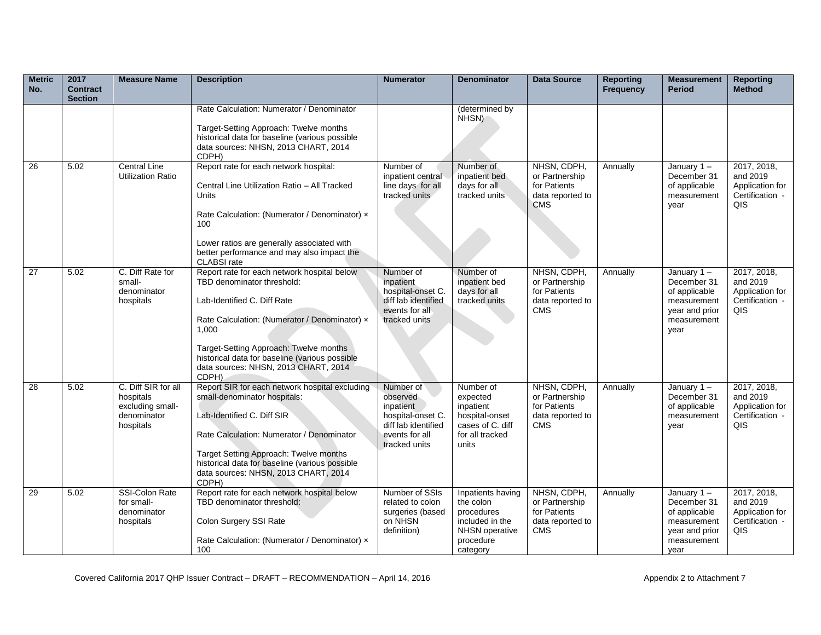| <b>Metric</b><br>No. | 2017<br><b>Contract</b><br><b>Section</b> | <b>Measure Name</b>                                                              | <b>Description</b>                                                                                                                                                                                                                                                                                              | <b>Numerator</b>                                                                                                  | <b>Denominator</b>                                                                                         | <b>Data Source</b>                                                              | <b>Reporting</b><br><b>Frequency</b> | <b>Measurement</b><br><b>Period</b>                                                                   | <b>Reporting</b><br>Method                                           |
|----------------------|-------------------------------------------|----------------------------------------------------------------------------------|-----------------------------------------------------------------------------------------------------------------------------------------------------------------------------------------------------------------------------------------------------------------------------------------------------------------|-------------------------------------------------------------------------------------------------------------------|------------------------------------------------------------------------------------------------------------|---------------------------------------------------------------------------------|--------------------------------------|-------------------------------------------------------------------------------------------------------|----------------------------------------------------------------------|
|                      |                                           |                                                                                  | Rate Calculation: Numerator / Denominator<br>Target-Setting Approach: Twelve months<br>historical data for baseline (various possible<br>data sources: NHSN, 2013 CHART, 2014<br>CDPH)                                                                                                                          |                                                                                                                   | (determined by<br>NHSN)                                                                                    |                                                                                 |                                      |                                                                                                       |                                                                      |
| $\overline{26}$      | 5.02                                      | <b>Central Line</b><br><b>Utilization Ratio</b>                                  | Report rate for each network hospital:<br>Central Line Utilization Ratio - All Tracked<br>Units<br>Rate Calculation: (Numerator / Denominator) x<br>100<br>Lower ratios are generally associated with<br>better performance and may also impact the<br>CLABSI rate                                              | Number of<br>inpatient central<br>line days for all<br>tracked units                                              | Number of<br>inpatient bed<br>days for all<br>tracked units                                                | NHSN, CDPH,<br>or Partnership<br>for Patients<br>data reported to<br><b>CMS</b> | Annually                             | January 1-<br>December 31<br>of applicable<br>measurement<br>vear                                     | 2017, 2018,<br>and 2019<br>Application for<br>Certification -<br>QIS |
| 27                   | 5.02                                      | C. Diff Rate for<br>small-<br>denominator<br>hospitals                           | Report rate for each network hospital below<br>TBD denominator threshold:<br>Lab-Identified C. Diff Rate<br>Rate Calculation: (Numerator / Denominator) x<br>1,000<br>Target-Setting Approach: Twelve months<br>historical data for baseline (various possible<br>data sources: NHSN, 2013 CHART, 2014<br>CDPH) | Number of<br>inpatient<br>hospital-onset C.<br>diff lab identified<br>events for all<br>tracked units             | Number of<br>inpatient bed<br>days for all<br>tracked units                                                | NHSN, CDPH,<br>or Partnership<br>for Patients<br>data reported to<br><b>CMS</b> | Annually                             | January $1 -$<br>December 31<br>of applicable<br>measurement<br>year and prior<br>measurement<br>year | 2017, 2018,<br>and 2019<br>Application for<br>Certification -<br>QIS |
| 28                   | 5.02                                      | C. Diff SIR for all<br>hospitals<br>excluding small-<br>denominator<br>hospitals | Report SIR for each network hospital excluding<br>small-denominator hospitals:<br>Lab-Identified C. Diff SIR<br>Rate Calculation: Numerator / Denominator<br>Target Setting Approach: Twelve months<br>historical data for baseline (various possible<br>data sources: NHSN, 2013 CHART, 2014<br>CDPH)          | Number of<br>observed<br>inpatient<br>hospital-onset C.<br>diff lab identified<br>events for all<br>tracked units | Number of<br>expected<br>inpatient<br>hospital-onset<br>cases of C. diff<br>for all tracked<br>units       | NHSN, CDPH,<br>or Partnership<br>for Patients<br>data reported to<br><b>CMS</b> | Annually                             | January $1 -$<br>December 31<br>of applicable<br>measurement<br>year                                  | 2017, 2018,<br>and 2019<br>Application for<br>Certification -<br>QIS |
| 29                   | 5.02                                      | SSI-Colon Rate<br>for small-<br>denominator<br>hospitals                         | Report rate for each network hospital below<br>TBD denominator threshold:<br>Colon Surgery SSI Rate<br>Rate Calculation: (Numerator / Denominator) x<br>100                                                                                                                                                     | Number of SSIs<br>related to colon<br>surgeries (based<br>on NHSN<br>definition)                                  | Inpatients having<br>the colon<br>procedures<br>included in the<br>NHSN operative<br>procedure<br>category | NHSN, CDPH,<br>or Partnership<br>for Patients<br>data reported to<br><b>CMS</b> | Annually                             | January 1-<br>December 31<br>of applicable<br>measurement<br>year and prior<br>measurement<br>year    | 2017, 2018,<br>and 2019<br>Application for<br>Certification -<br>QIS |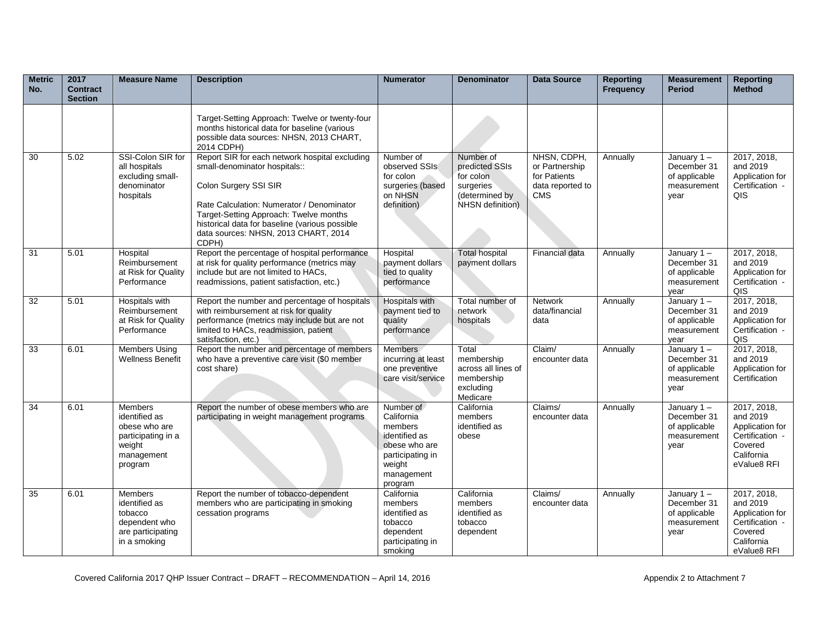| <b>Metric</b><br>No. | 2017<br><b>Contract</b><br><b>Section</b> | <b>Measure Name</b>                                                                                       | <b>Description</b>                                                                                                                                                                                                                                                                                 | <b>Numerator</b>                                                                                                            | <b>Denominator</b>                                                                          | <b>Data Source</b>                                                              | <b>Reporting</b><br><b>Frequency</b> | <b>Measurement</b><br><b>Period</b>                                  | <b>Reporting</b><br><b>Method</b>                                                                     |
|----------------------|-------------------------------------------|-----------------------------------------------------------------------------------------------------------|----------------------------------------------------------------------------------------------------------------------------------------------------------------------------------------------------------------------------------------------------------------------------------------------------|-----------------------------------------------------------------------------------------------------------------------------|---------------------------------------------------------------------------------------------|---------------------------------------------------------------------------------|--------------------------------------|----------------------------------------------------------------------|-------------------------------------------------------------------------------------------------------|
|                      |                                           |                                                                                                           | Target-Setting Approach: Twelve or twenty-four<br>months historical data for baseline (various<br>possible data sources: NHSN, 2013 CHART,<br>2014 CDPH)                                                                                                                                           |                                                                                                                             |                                                                                             |                                                                                 |                                      |                                                                      |                                                                                                       |
| 30                   | 5.02                                      | SSI-Colon SIR for<br>all hospitals<br>excluding small-<br>denominator<br>hospitals                        | Report SIR for each network hospital excluding<br>small-denominator hospitals::<br>Colon Surgery SSI SIR<br>Rate Calculation: Numerator / Denominator<br>Target-Setting Approach: Twelve months<br>historical data for baseline (various possible<br>data sources: NHSN, 2013 CHART, 2014<br>CDPH) | Number of<br>observed SSIs<br>for colon<br>surgeries (based<br>on NHSN<br>definition)                                       | Number of<br>predicted SSIs<br>for colon<br>surgeries<br>(determined by<br>NHSN definition) | NHSN, CDPH,<br>or Partnership<br>for Patients<br>data reported to<br><b>CMS</b> | Annually                             | January $1 -$<br>December 31<br>of applicable<br>measurement<br>year | 2017, 2018,<br>and 2019<br>Application for<br>Certification -<br>QIS                                  |
| 31                   | 5.01                                      | Hospital<br>Reimbursement<br>at Risk for Quality<br>Performance                                           | Report the percentage of hospital performance<br>at risk for quality performance (metrics may<br>include but are not limited to HACs,<br>readmissions, patient satisfaction, etc.)                                                                                                                 | Hospital<br>payment dollars<br>tied to quality<br>performance                                                               | <b>Total hospital</b><br>payment dollars                                                    | Financial data                                                                  | Annually                             | January $1 -$<br>December 31<br>of applicable<br>measurement<br>year | 2017, 2018,<br>and 2019<br>Application for<br>Certification -<br>QIS                                  |
| 32                   | 5.01                                      | Hospitals with<br>Reimbursement<br>at Risk for Quality<br>Performance                                     | Report the number and percentage of hospitals<br>with reimbursement at risk for quality<br>performance (metrics may include but are not<br>limited to HACs, readmission, patient<br>satisfaction, etc.)                                                                                            | Hospitals with<br>payment tied to<br>quality<br>performance                                                                 | Total number of<br>network<br>hospitals                                                     | Network<br>data/financial<br>data                                               | Annually                             | January 1-<br>December 31<br>of applicable<br>measurement<br>year    | 2017, 2018,<br>and 2019<br>Application for<br>Certification -<br>QIS                                  |
| 33                   | 6.01                                      | <b>Members Using</b><br><b>Wellness Benefit</b>                                                           | Report the number and percentage of members<br>who have a preventive care visit (\$0 member<br>cost share)                                                                                                                                                                                         | <b>Members</b><br>incurring at least<br>one preventive<br>care visit/service                                                | Total<br>membership<br>across all lines of<br>membership<br>excluding<br>Medicare           | Claim/<br>encounter data                                                        | Annually                             | January 1-<br>December 31<br>of applicable<br>measurement<br>year    | 2017, 2018,<br>and 2019<br>Application for<br>Certification                                           |
| 34                   | 6.01                                      | <b>Members</b><br>identified as<br>obese who are<br>participating in a<br>weight<br>management<br>program | Report the number of obese members who are<br>participating in weight management programs                                                                                                                                                                                                          | Number of<br>California<br>members<br>identified as<br>obese who are<br>participating in<br>weight<br>management<br>program | California<br>members<br>identified as<br>obese                                             | Claims/<br>encounter data                                                       | Annually                             | January 1-<br>December 31<br>of applicable<br>measurement<br>year    | 2017, 2018,<br>and 2019<br>Application for<br>Certification -<br>Covered<br>California<br>eValue8 RFI |
| 35                   | 6.01                                      | Members<br>identified as<br>tobacco<br>dependent who<br>are participating<br>in a smoking                 | Report the number of tobacco-dependent<br>members who are participating in smoking<br>cessation programs                                                                                                                                                                                           | California<br>members<br>identified as<br>tobacco<br>dependent<br>participating in<br>smoking                               | California<br>members<br>identified as<br>tobacco<br>dependent                              | Claims/<br>encounter data                                                       | Annually                             | January 1-<br>December 31<br>of applicable<br>measurement<br>year    | 2017, 2018,<br>and 2019<br>Application for<br>Certification -<br>Covered<br>California<br>eValue8 RFI |